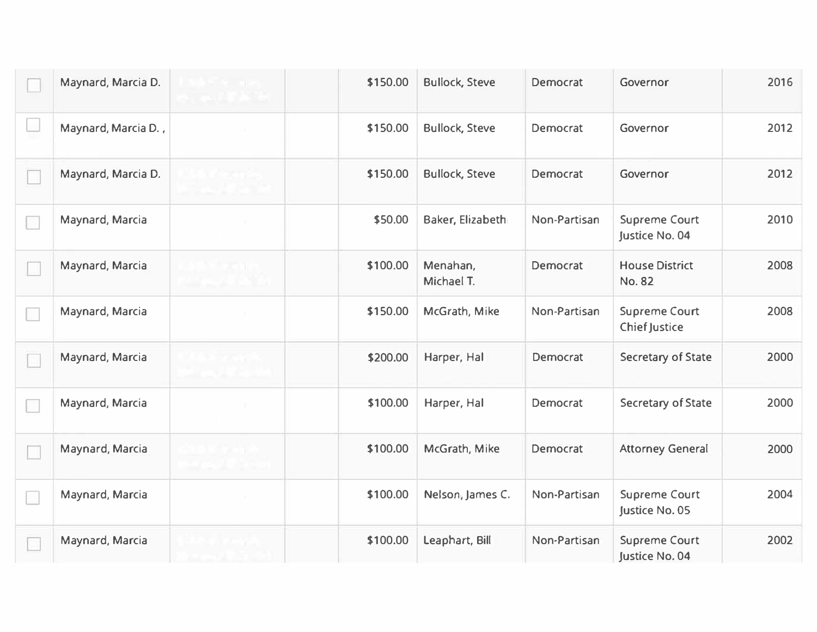| Maynard, Marcia D.  | \$150.00 | <b>Bullock, Steve</b>  | Democrat     | Governor                                     | 2016 |
|---------------------|----------|------------------------|--------------|----------------------------------------------|------|
| Maynard, Marcia D., | \$150.00 | <b>Bullock, Steve</b>  | Democrat     | Governor                                     | 2012 |
| Maynard, Marcia D.  | \$150.00 | <b>Bullock, Steve</b>  | Democrat     | Governor                                     | 2012 |
| Maynard, Marcia     | \$50.00  | Baker, Elizabeth       | Non-Partisan | <b>Supreme Court</b><br>Justice No. 04       | 2010 |
| Maynard, Marcia     | \$100.00 | Menahan,<br>Michael T. | Democrat     | <b>House District</b><br>No. 82              | 2008 |
| Maynard, Marcia     | \$150.00 | McGrath, Mike          | Non-Partisan | <b>Supreme Court</b><br><b>Chief Justice</b> | 2008 |
| Maynard, Marcia     | \$200.00 | Harper, Hal            | Democrat     | Secretary of State                           | 2000 |
| Maynard, Marcia     | \$100.00 | Harper, Hal            | Democrat     | <b>Secretary of State</b>                    | 2000 |
| Maynard, Marcia     | \$100.00 | McGrath, Mike          | Democrat     | <b>Attorney General</b>                      | 2000 |
| Maynard, Marcia     | \$100.00 | Nelson, James C.       | Non-Partisan | <b>Supreme Court</b><br>Justice No. 05       | 2004 |
| Maynard, Marcia     | \$100.00 | Leaphart, Bill         | Non-Partisan | <b>Supreme Court</b><br>Justice No. 04       | 2002 |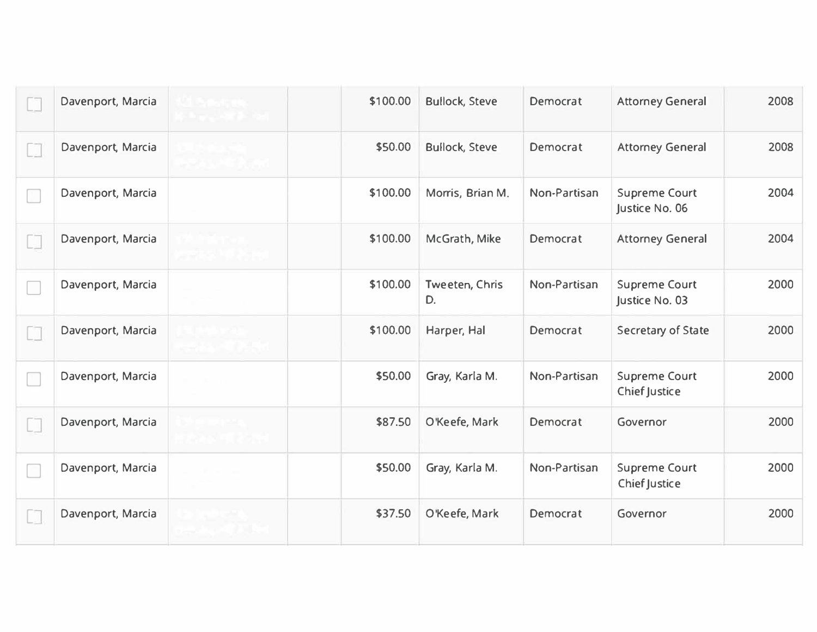| Davenport, Marcia | \$100.00 | <b>Bullock, Steve</b> | Democrat     | <b>Attorney General</b>                | 2008 |
|-------------------|----------|-----------------------|--------------|----------------------------------------|------|
| Davenport, Marcia | \$50.00  | <b>Bullock, Steve</b> | Democrat     | <b>Attorney General</b>                | 2008 |
| Davenport, Marcia | \$100.00 | Morris, Brian M.      | Non-Partisan | <b>Supreme Court</b><br>Justice No. 06 | 2004 |
| Davenport, Marcia | \$100.00 | McGrath, Mike         | Democrat     | <b>Attorney General</b>                | 2004 |
| Davenport, Marcia | \$100.00 | Tweeten, Chris<br>D.  | Non-Partisan | <b>Supreme Court</b><br>Justice No. 03 | 2000 |
| Davenport, Marcia | \$100.00 | Harper, Hal           | Democrat     | Secretary of State                     | 2000 |
| Davenport, Marcia | \$50.00  | Gray, Karla M.        | Non-Partisan | <b>Supreme Court</b><br>Chief Justice  | 2000 |
| Davenport, Marcia | \$87.50  | O'Keefe, Mark         | Democrat     | Governor                               | 2000 |
| Davenport, Marcia | \$50.00  | Gray, Karla M.        | Non-Partisan | <b>Supreme Court</b><br>Chief Justice  | 2000 |
| Davenport, Marcia | \$37.50  | O'Keefe, Mark         | Democrat     | Governor                               | 2000 |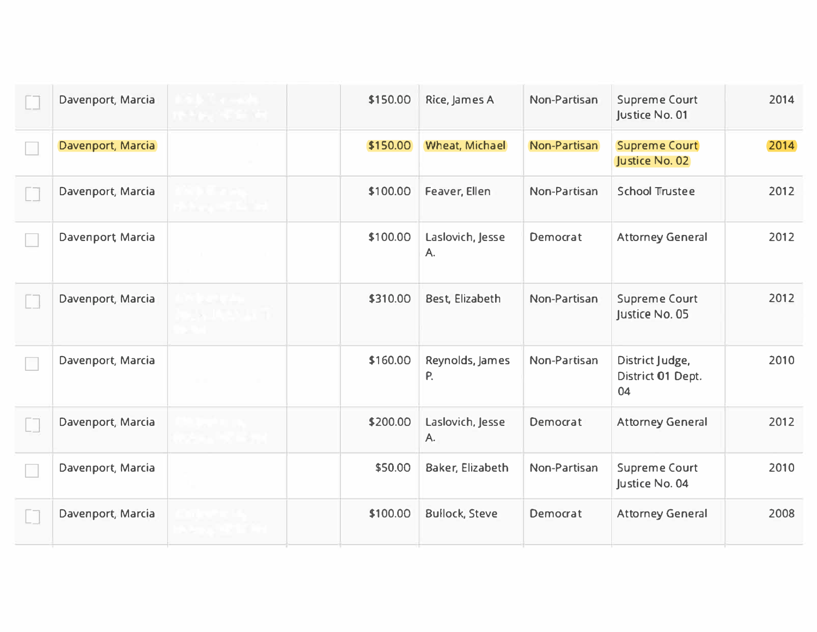| Davenport, Marcia | \$150.00 | Rice, James A           | Non-Partisan | <b>Supreme Court</b><br>Justice No. 01     | 2014 |
|-------------------|----------|-------------------------|--------------|--------------------------------------------|------|
| Davenport, Marcia | \$150.00 | <b>Wheat, Michael</b>   | Non-Partisan | <b>Supreme Court</b><br>Justice No. 02     | 2014 |
| Davenport, Marcia | \$100.00 | Feaver, Ellen           | Non-Partisan | <b>School Trustee</b>                      | 2012 |
| Davenport Marcia  | \$100.00 | Laslovich, Jesse<br>A.  | Democrat     | <b>Attorney General</b>                    | 2012 |
| Davenport, Marcia | \$310.00 | Best, Elizabeth         | Non-Partisan | <b>Supreme Court</b><br>Justice No. 05     | 2012 |
| Davenport, Marcia | \$160.00 | Reynolds, James<br>P.   | Non-Partisan | District Judge,<br>District 01 Dept.<br>04 | 2010 |
| Davenport, Marcia | \$200.00 | Laslovich, Jesse<br>Α.  | Democrat     | <b>Attorney General</b>                    | 2012 |
| Davenport, Marcia | \$50.00  | <b>Baker, Elizabeth</b> | Non-Partisan | <b>Supreme Court</b><br>Justice No. 04     | 2010 |
| Davenport, Marcia | \$100.00 | <b>Bullock, Steve</b>   | Democrat     | <b>Attorney General</b>                    | 2008 |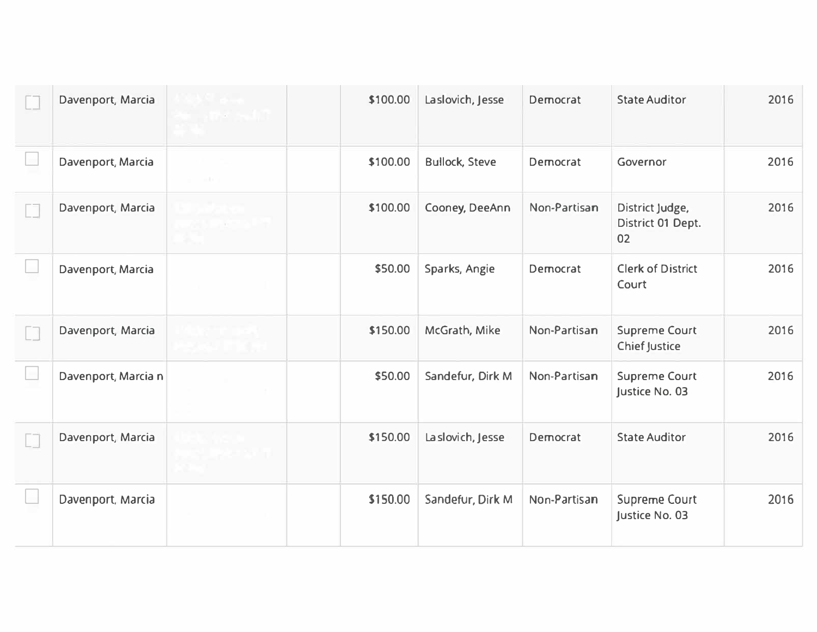| Davenport, Marcia   | \$100.00 | Laslovich, Jesse      | Democrat     | <b>State Auditor</b>                         | 2016 |
|---------------------|----------|-----------------------|--------------|----------------------------------------------|------|
| Davenport, Marcia   | \$100.00 | <b>Bullock, Steve</b> | Democrat     | Governor                                     | 2016 |
| Davenport, Marcia   | \$100.00 | Cooney, DeeAnn        | Non-Partisan | District Judge,<br>District 01 Dept.<br>02   | 2016 |
| Davenport, Marcia   | \$50.00  | Sparks, Angie         | Democrat     | <b>Clerk of District</b><br>Court            | 2016 |
| Davenport, Marcia   | \$150.00 | McGrath, Mike         | Non-Partisan | <b>Supreme Court</b><br><b>Chief Justice</b> | 2016 |
| Davenport, Marcia n | \$50.00  | Sandefur, Dirk M      | Non-Partisan | <b>Supreme Court</b><br>Justice No. 03       | 2016 |
| Davenport, Marcia   | \$150.00 | La slovich, Jesse     | Democrat     | <b>State Auditor</b>                         | 2016 |
| Davenport, Marcia   | \$150.00 | Sandefur, Dirk M      | Non-Partisan | <b>Supreme Court</b><br>Justice No. 03       | 2016 |